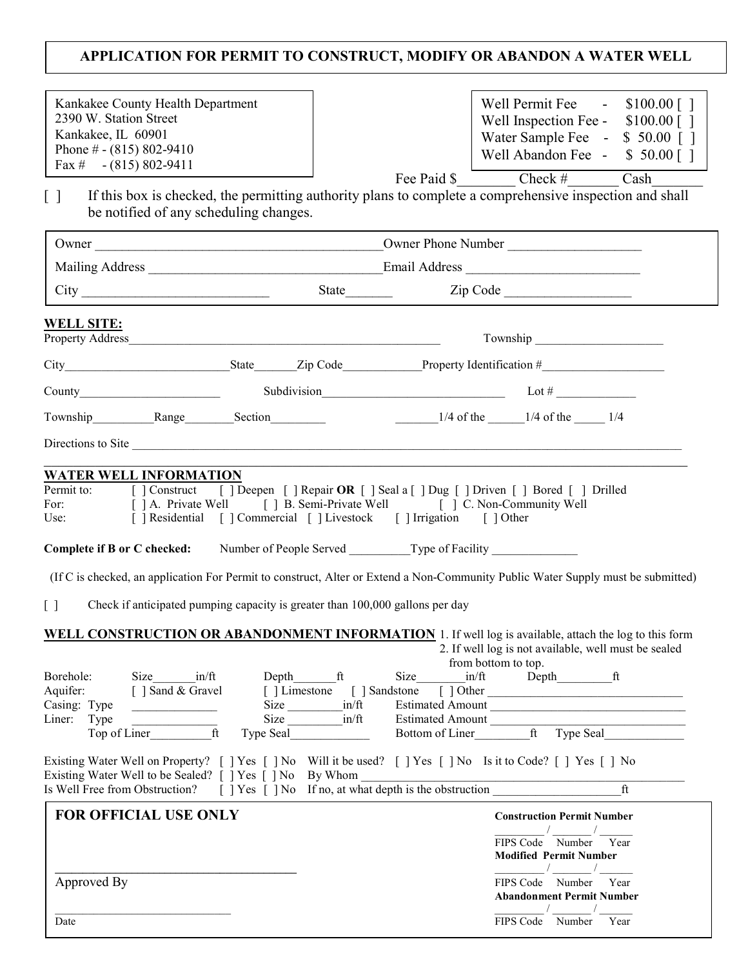## APPLICATION FOR PERMIT TO CONSTRUCT, MODIFY OR ABANDON A WATER WELL

| Kankakee County Health Department<br>2390 W. Station Street<br>Kankakee, IL 60901<br>Phone $\#$ - (815) 802-9410<br>Fax $\#$ - (815) 802-9411                                                                                                                                                                                                 |                   |                                                           |      | Well Permit Fee $\qquad 5100.00$ []<br>Well Inspection Fee - $$100.00$ []<br>Water Sample Fee - \$ 50.00 []<br>Well Abandon Fee - \$ 50.00 []<br>Fee Paid $\$\qquad \qquad$ Check #  | Cash         |
|-----------------------------------------------------------------------------------------------------------------------------------------------------------------------------------------------------------------------------------------------------------------------------------------------------------------------------------------------|-------------------|-----------------------------------------------------------|------|--------------------------------------------------------------------------------------------------------------------------------------------------------------------------------------|--------------|
| If this box is checked, the permitting authority plans to complete a comprehensive inspection and shall<br>$\Box$<br>be notified of any scheduling changes.                                                                                                                                                                                   |                   |                                                           |      |                                                                                                                                                                                      |              |
|                                                                                                                                                                                                                                                                                                                                               |                   |                                                           |      |                                                                                                                                                                                      |              |
|                                                                                                                                                                                                                                                                                                                                               |                   |                                                           |      |                                                                                                                                                                                      |              |
|                                                                                                                                                                                                                                                                                                                                               |                   |                                                           |      |                                                                                                                                                                                      |              |
| <b>WELL SITE:</b>                                                                                                                                                                                                                                                                                                                             |                   |                                                           |      |                                                                                                                                                                                      |              |
|                                                                                                                                                                                                                                                                                                                                               |                   |                                                           |      |                                                                                                                                                                                      |              |
| County $Subdivision$ $Lot\#$                                                                                                                                                                                                                                                                                                                  |                   |                                                           |      |                                                                                                                                                                                      |              |
| Township Range Section                                                                                                                                                                                                                                                                                                                        |                   |                                                           |      | 1/4 of the $1/4$ of the $1/4$                                                                                                                                                        |              |
| Directions to Site                                                                                                                                                                                                                                                                                                                            |                   |                                                           |      |                                                                                                                                                                                      |              |
| (If C is checked, an application For Permit to construct, Alter or Extend a Non-Community Public Water Supply must be submitted)<br>$\lceil \rceil$<br>Check if anticipated pumping capacity is greater than 100,000 gallons per day<br>WELL CONSTRUCTION OR ABANDONMENT INFORMATION 1. If well log is available, attach the log to this form |                   |                                                           |      |                                                                                                                                                                                      |              |
| Borehole:<br>Size<br>in/ft<br>Aquifer:<br>[ ] Sand & Gravel<br>Casing: Type<br>Liner:<br>Type<br>Top of Liner<br>ft                                                                                                                                                                                                                           | Size<br>Type Seal | Depth ft<br>[ ] Limestone [ ] Sandstone<br>in/ft<br>in/ft | Size | 2. If well log is not available, well must be sealed<br>from bottom to top.<br>in/ft Depth ft<br>$[ ]$ Other<br>Estimated Amount<br>Estimated Amount<br>Bottom of Liner ft Type Seal |              |
| Existing Water Well on Property? [ ] Yes [ ] No Will it be used? [ ] Yes [ ] No Is it to Code? [ ] Yes [ ] No<br>Existing Water Well to be Sealed? [ ] Yes [ ] No By Whom<br>Is Well Free from Obstruction? [ ] Yes [ ] No If no, at what depth is the obstruction<br>FOR OFFICIAL USE ONLY                                                   |                   |                                                           |      | <b>Construction Permit Number</b><br>FIPS Code Number Year                                                                                                                           | ft           |
| Approved By<br>Date                                                                                                                                                                                                                                                                                                                           |                   |                                                           |      | <b>Modified Permit Number</b><br>FIPS Code Number<br><b>Abandonment Permit Number</b><br>FIPS Code Number                                                                            | Year<br>Year |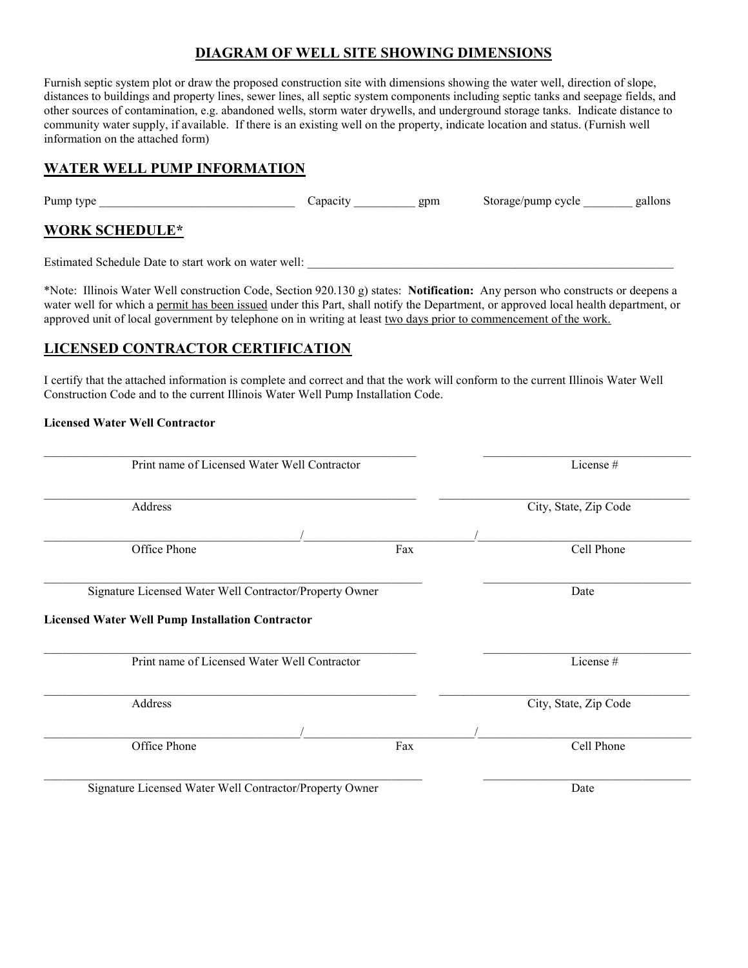### DIAGRAM OF WELL SITE SHOWING DIMENSIONS

Furnish septic system plot or draw the proposed construction site with dimensions showing the water well, direction of slope, distances to buildings and property lines, sewer lines, all septic system components including septic tanks and seepage fields, and other sources of contamination, e.g. abandoned wells, storm water drywells, and underground storage tanks. Indicate distance to community water supply, if available. If there is an existing well on the property, indicate location and status. (Furnish well information on the attached form)

### WATER WELL PUMP INFORMATION

Pump type \_\_\_\_\_\_\_\_\_\_\_\_\_\_\_\_\_\_\_\_\_\_\_\_\_\_\_\_\_\_\_\_ Capacity \_\_\_\_\_\_\_\_\_\_ gpm Storage/pump cycle \_\_\_\_\_\_\_\_ gallons

### WORK SCHEDULE\*

Estimated Schedule Date to start work on water well: \_\_\_\_\_\_\_\_\_\_\_\_\_\_\_\_\_\_\_\_\_\_\_\_\_\_\_\_\_\_\_\_\_\_\_\_\_\_\_\_\_\_\_\_\_\_\_\_\_\_\_\_\_\_\_\_\_\_\_\_

\*Note: Illinois Water Well construction Code, Section 920.130 g) states: **Notification:** Any person who constructs or deepens a water well for which a permit has been issued under this Part, shall notify the Department, or approved local health department, or approved unit of local government by telephone on in writing at least two days prior to commencement of the work.

### LICENSED CONTRACTOR CERTIFICATION

I certify that the attached information is complete and correct and that the work will conform to the current Illinois Water Well Construction Code and to the current Illinois Water Well Pump Installation Code.

#### Licensed Water Well Contractor

| Print name of Licensed Water Well Contractor                       |     | License #             |  |
|--------------------------------------------------------------------|-----|-----------------------|--|
| Address                                                            |     | City, State, Zip Code |  |
|                                                                    |     |                       |  |
| Office Phone                                                       | Fax | Cell Phone            |  |
| Signature Licensed Water Well Contractor/Property Owner            |     | Date                  |  |
|                                                                    |     |                       |  |
|                                                                    |     |                       |  |
| Print name of Licensed Water Well Contractor                       |     | License #             |  |
| <b>Licensed Water Well Pump Installation Contractor</b><br>Address |     |                       |  |
|                                                                    |     | City, State, Zip Code |  |
| Office Phone                                                       | Fax | Cell Phone            |  |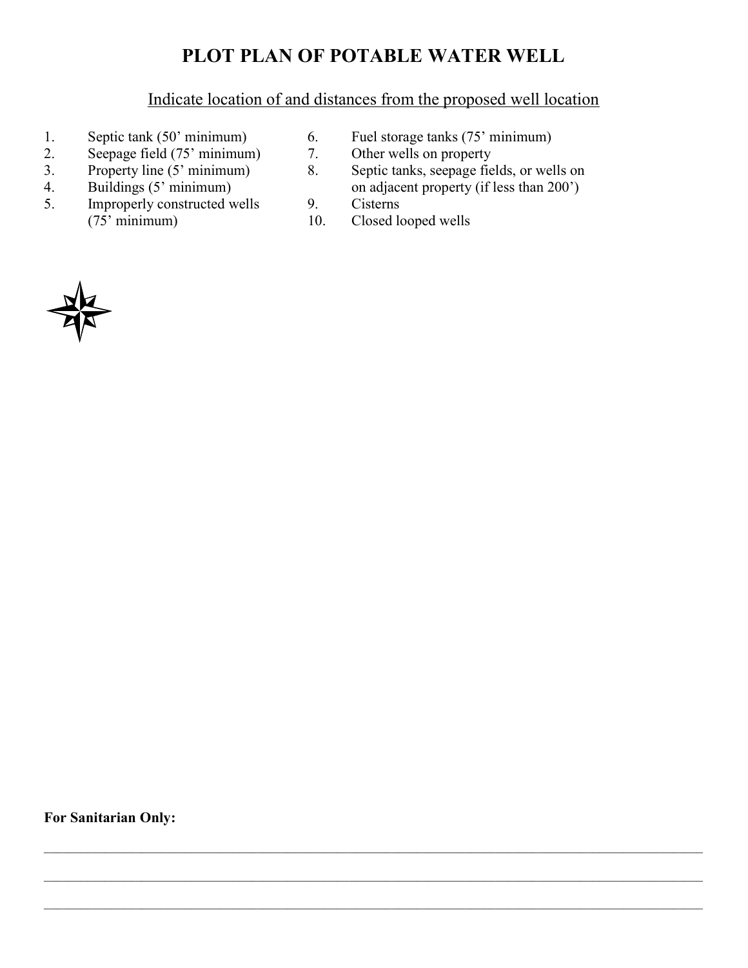# PLOT PLAN OF POTABLE WATER WELL

## Indicate location of and distances from the proposed well location

- 
- 2. Seepage field (75' minimum) 7.<br>3. Property line (5' minimum) 8.
- 
- 
- 5. Improperly constructed wells 9. Cisterns (75' minimum) 10. Closed k
- 1. Septic tank (50' minimum) 6. Fuel storage tanks (75' minimum)<br>
2. Seepage field (75' minimum) 7. Other wells on property
	-
- 3. Property line (5' minimum) 8. Septic tanks, seepage fields, or wells on 4. Buildings (5' minimum) 8. Septic tanks, seepage fields, or wells on 4. Buildings (5' minimum) on adjacent property (if less than 200')
	-
	- 10. Closed looped wells

 $\mathcal{L}_\text{max} = \frac{1}{2} \sum_{i=1}^n \mathcal{L}_\text{max} = \frac{1}{2} \sum_{i=1}^n \mathcal{L}_\text{max} = \frac{1}{2} \sum_{i=1}^n \mathcal{L}_\text{max} = \frac{1}{2} \sum_{i=1}^n \mathcal{L}_\text{max} = \frac{1}{2} \sum_{i=1}^n \mathcal{L}_\text{max} = \frac{1}{2} \sum_{i=1}^n \mathcal{L}_\text{max} = \frac{1}{2} \sum_{i=1}^n \mathcal{L}_\text{max} = \frac{1}{2} \sum_{i=$ 

 $\mathcal{L}_\mathcal{L} = \mathcal{L}_\mathcal{L} = \mathcal{L}_\mathcal{L} = \mathcal{L}_\mathcal{L} = \mathcal{L}_\mathcal{L} = \mathcal{L}_\mathcal{L} = \mathcal{L}_\mathcal{L} = \mathcal{L}_\mathcal{L} = \mathcal{L}_\mathcal{L} = \mathcal{L}_\mathcal{L} = \mathcal{L}_\mathcal{L} = \mathcal{L}_\mathcal{L} = \mathcal{L}_\mathcal{L} = \mathcal{L}_\mathcal{L} = \mathcal{L}_\mathcal{L} = \mathcal{L}_\mathcal{L} = \mathcal{L}_\mathcal{L}$ 



For Sanitarian Only: